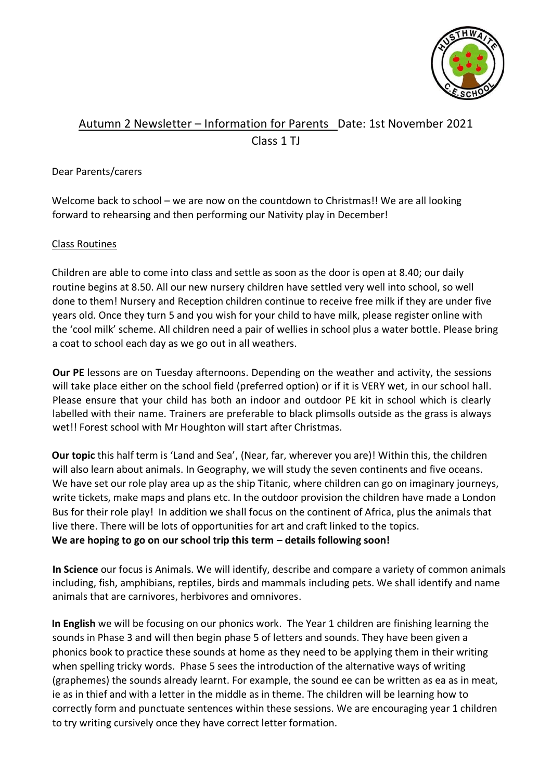

# Autumn 2 Newsletter – Information for Parents Date: 1st November 2021 Class 1 TJ

## Dear Parents/carers

Welcome back to school – we are now on the countdown to Christmas!! We are all looking forward to rehearsing and then performing our Nativity play in December!

#### Class Routines

Children are able to come into class and settle as soon as the door is open at 8.40; our daily routine begins at 8.50. All our new nursery children have settled very well into school, so well done to them! Nursery and Reception children continue to receive free milk if they are under five years old. Once they turn 5 and you wish for your child to have milk, please register online with the 'cool milk' scheme. All children need a pair of wellies in school plus a water bottle. Please bring a coat to school each day as we go out in all weathers.

**Our PE** lessons are on Tuesday afternoons. Depending on the weather and activity, the sessions will take place either on the school field (preferred option) or if it is VERY wet, in our school hall. Please ensure that your child has both an indoor and outdoor PE kit in school which is clearly labelled with their name. Trainers are preferable to black plimsolls outside as the grass is always wet!! Forest school with Mr Houghton will start after Christmas.

**Our topic** this half term is 'Land and Sea', (Near, far, wherever you are)! Within this, the children will also learn about animals. In Geography, we will study the seven continents and five oceans. We have set our role play area up as the ship Titanic, where children can go on imaginary journeys, write tickets, make maps and plans etc. In the outdoor provision the children have made a London Bus for their role play! In addition we shall focus on the continent of Africa, plus the animals that live there. There will be lots of opportunities for art and craft linked to the topics. **We are hoping to go on our school trip this term – details following soon!**

**In Science** our focus is Animals. We will identify, describe and compare a variety of common animals including, fish, amphibians, reptiles, birds and mammals including pets. We shall identify and name animals that are carnivores, herbivores and omnivores.

**In English** we will be focusing on our phonics work. The Year 1 children are finishing learning the sounds in Phase 3 and will then begin phase 5 of letters and sounds. They have been given a phonics book to practice these sounds at home as they need to be applying them in their writing when spelling tricky words. Phase 5 sees the introduction of the alternative ways of writing (graphemes) the sounds already learnt. For example, the sound ee can be written as ea as in meat, ie as in thief and with a letter in the middle as in theme. The children will be learning how to correctly form and punctuate sentences within these sessions. We are encouraging year 1 children to try writing cursively once they have correct letter formation.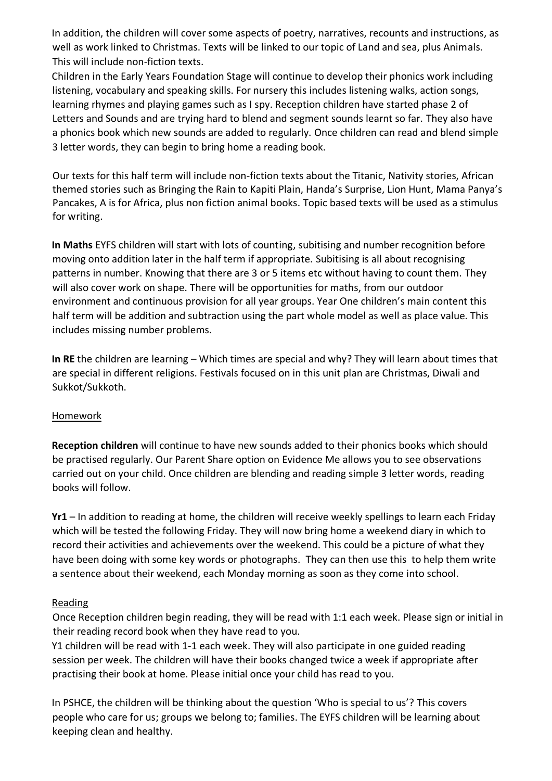In addition, the children will cover some aspects of poetry, narratives, recounts and instructions, as well as work linked to Christmas. Texts will be linked to our topic of Land and sea, plus Animals. This will include non-fiction texts.

Children in the Early Years Foundation Stage will continue to develop their phonics work including listening, vocabulary and speaking skills. For nursery this includes listening walks, action songs, learning rhymes and playing games such as I spy. Reception children have started phase 2 of Letters and Sounds and are trying hard to blend and segment sounds learnt so far. They also have a phonics book which new sounds are added to regularly. Once children can read and blend simple 3 letter words, they can begin to bring home a reading book.

Our texts for this half term will include non-fiction texts about the Titanic, Nativity stories, African themed stories such as Bringing the Rain to Kapiti Plain, Handa's Surprise, Lion Hunt, Mama Panya's Pancakes, A is for Africa, plus non fiction animal books. Topic based texts will be used as a stimulus for writing.

**In Maths** EYFS children will start with lots of counting, subitising and number recognition before moving onto addition later in the half term if appropriate. Subitising is all about recognising patterns in number. Knowing that there are 3 or 5 items etc without having to count them. They will also cover work on shape. There will be opportunities for maths, from our outdoor environment and continuous provision for all year groups. Year One children's main content this half term will be addition and subtraction using the part whole model as well as place value. This includes missing number problems.

**In RE** the children are learning – Which times are special and why? They will learn about times that are special in different religions. Festivals focused on in this unit plan are Christmas, Diwali and Sukkot/Sukkoth.

## Homework

**Reception children** will continue to have new sounds added to their phonics books which should be practised regularly. Our Parent Share option on Evidence Me allows you to see observations carried out on your child. Once children are blending and reading simple 3 letter words, reading books will follow.

**Yr1** – In addition to reading at home, the children will receive weekly spellings to learn each Friday which will be tested the following Friday. They will now bring home a weekend diary in which to record their activities and achievements over the weekend. This could be a picture of what they have been doing with some key words or photographs. They can then use this to help them write a sentence about their weekend, each Monday morning as soon as they come into school.

## Reading

Once Reception children begin reading, they will be read with 1:1 each week. Please sign or initial in their reading record book when they have read to you.

Y1 children will be read with 1-1 each week. They will also participate in one guided reading session per week. The children will have their books changed twice a week if appropriate after practising their book at home. Please initial once your child has read to you.

In PSHCE, the children will be thinking about the question 'Who is special to us'? This covers people who care for us; groups we belong to; families. The EYFS children will be learning about keeping clean and healthy.